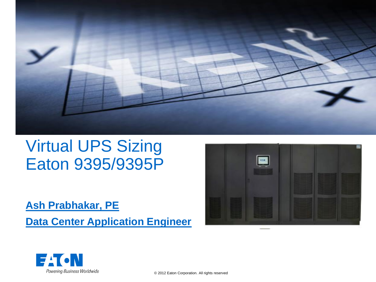

#### Virtual UPS Sizing Eaton 9395/9395P

#### **Ash Prabhakar, PE**

**Data Center Application Engineer**





© 2012 Eaton Corporation. All rights reserved.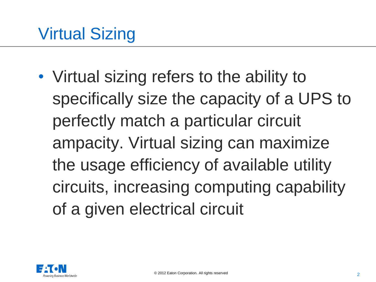• Virtual sizing refers to the ability to specifically size the capacity of a UPS to perfectly match a particular circuit ampacity. Virtual sizing can maximize the usage efficiency of available utility circuits, increasing computing capability of a given electrical circuit

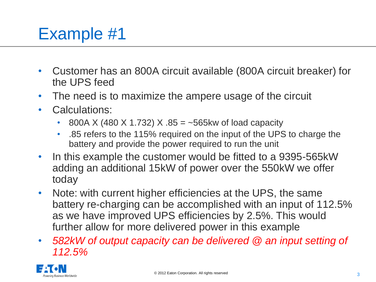# Example #1

- Customer has an 800A circuit available (800A circuit breaker) for the UPS feed
- The need is to maximize the ampere usage of the circuit
- Calculations:
	- 800A X (480 X 1.732) X  $.85 = -565$  kw of load capacity
	- .85 refers to the 115% required on the input of the UPS to charge the battery and provide the power required to run the unit
- In this example the customer would be fitted to a 9395-565kW adding an additional 15kW of power over the 550kW we offer today
- Note: with current higher efficiencies at the UPS, the same battery re-charging can be accomplished with an input of 112.5% as we have improved UPS efficiencies by 2.5%. This would further allow for more delivered power in this example
- *582kW of output capacity can be delivered @ an input setting of 112.5%*

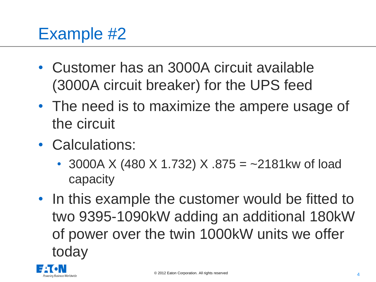# Example #2

- Customer has an 3000A circuit available (3000A circuit breaker) for the UPS feed
- The need is to maximize the ampere usage of the circuit
- Calculations:
	- 3000A X (480 X 1.732) X  $.875 = -2181$ kw of load capacity
- In this example the customer would be fitted to two 9395-1090kW adding an additional 180kW of power over the twin 1000kW units we offer today

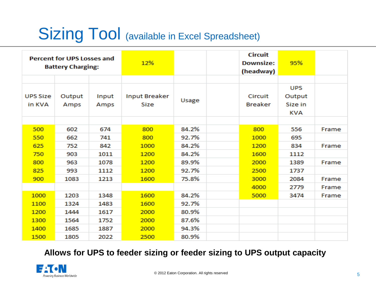# Sizing Tool (available in Excel Spreadsheet)

| <b>Percent for UPS Losses and</b><br><b>Battery Charging:</b> |                |               | 12%                          |       | <b>Circuit</b><br><b>Downsize:</b><br>(headway) | 95%                                    |       |
|---------------------------------------------------------------|----------------|---------------|------------------------------|-------|-------------------------------------------------|----------------------------------------|-------|
|                                                               |                |               |                              |       |                                                 |                                        |       |
| <b>UPS Size</b><br>in KVA                                     | Output<br>Amps | Input<br>Amps | <b>Input Breaker</b><br>Size | Usage | Circuit<br><b>Breaker</b>                       | <b>UPS</b><br>Output<br>Size in<br>KVA |       |
|                                                               |                |               |                              |       |                                                 |                                        |       |
| 500                                                           | 602            | 674           | 800                          | 84.2% | 800                                             | 556                                    | Frame |
| 550                                                           | 662            | 741           | 800                          | 92.7% | 1000                                            | 695                                    |       |
| 625                                                           | 752            | 842           | 1000                         | 84.2% | 1200                                            | 834                                    | Frame |
| 750                                                           | 903            | 1011          | 1200                         | 84.2% | 1600                                            | 1112                                   |       |
| 800                                                           | 963            | 1078          | 1200                         | 89.9% | 2000                                            | 1389                                   | Frame |
| 825                                                           | 993            | 1112          | 1200                         | 92.7% | 2500                                            | 1737                                   |       |
| 900                                                           | 1083           | 1213          | 1600                         | 75.8% | 3000                                            | 2084                                   | Frame |
|                                                               |                |               |                              |       | 4000                                            | 2779                                   | Frame |
| 1000                                                          | 1203           | 1348          | 1600                         | 84.2% | 5000                                            | 3474                                   | Frame |
| 1100                                                          | 1324           | 1483          | 1600                         | 92.7% |                                                 |                                        |       |
| 1200                                                          | 1444           | 1617          | 2000                         | 80.9% |                                                 |                                        |       |
| 1300                                                          | 1564           | 1752          | 2000                         | 87.6% |                                                 |                                        |       |
| 1400                                                          | 1685           | 1887          | 2000                         | 94.3% |                                                 |                                        |       |
| 1500                                                          | 1805           | 2022          | 2500                         | 80.9% |                                                 |                                        |       |

**Allows for UPS to feeder sizing or feeder sizing to UPS output capacity**

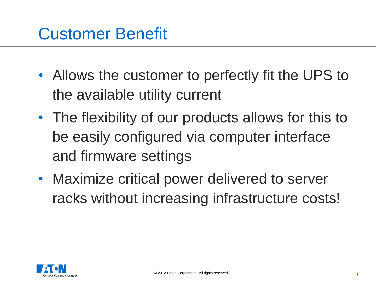#### Customer Benefit

- Allows the customer to perfectly fit the UPS to the available utility current
- The flexibility of our products allows for this to be easily configured via computer interface and firmware settings
- Maximize critical power delivered to server racks without increasing infrastructure costs!